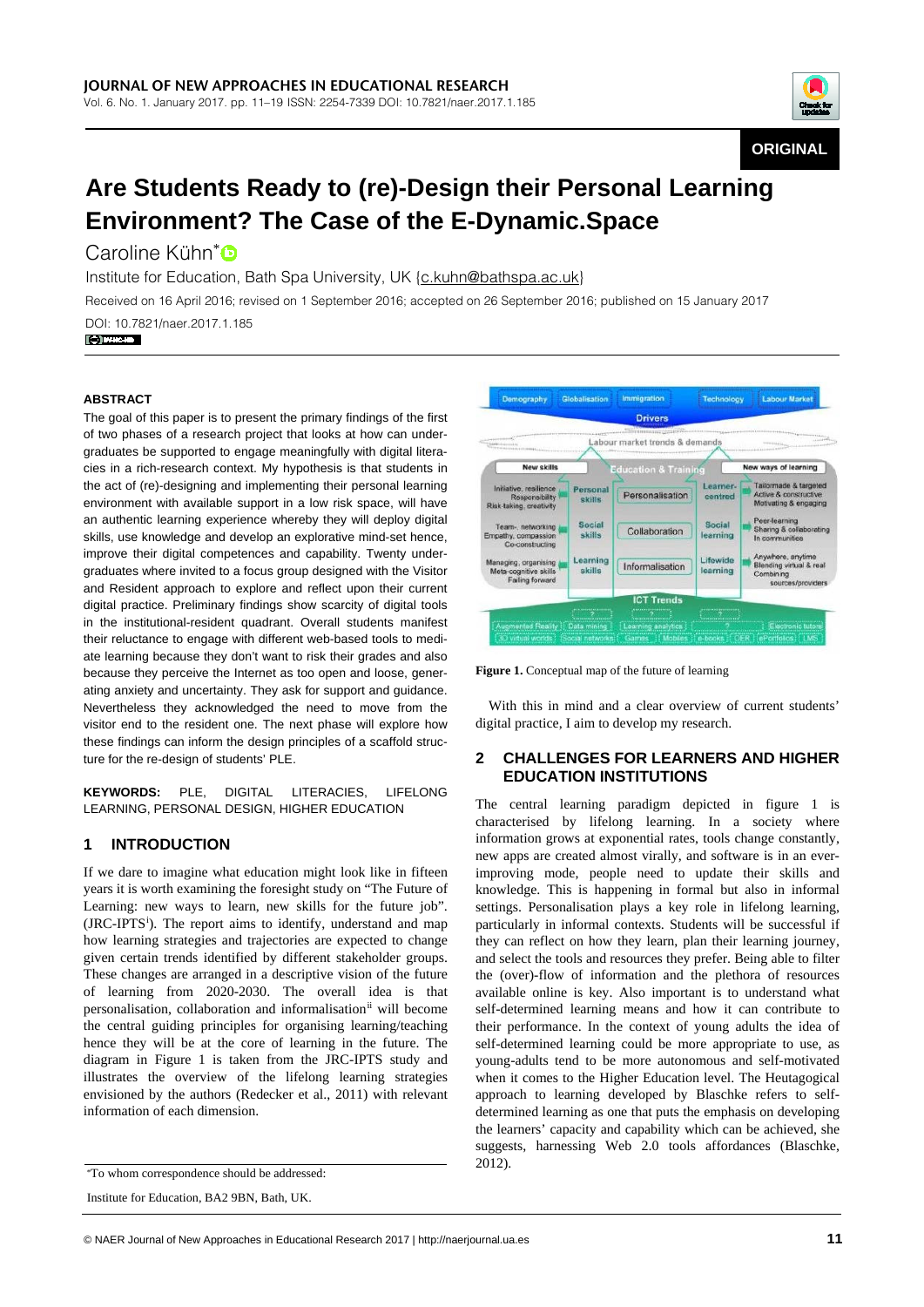

# **ORIGINAL**

# **Are Students Ready to (re)-Design their Personal Learning Environment? The Case of the E-Dynamic.Space**

Caroline Kühn\*<sup>D</sup>

Institute for Education, Bath Spa University, UK {c.kuhn@bathspa.ac.uk}

Received on 16 April 2016; revised on 1 September 2016; accepted on 26 September 2016; published on 15 January 2017

DOI: 10.7821/naer.2017.1.185 O BY-NC-ND

#### **ABSTRACT**

The goal of this paper is to present the primary findings of the first of two phases of a research project that looks at how can undergraduates be supported to engage meaningfully with digital literacies in a rich-research context. My hypothesis is that students in the act of (re)-designing and implementing their personal learning environment with available support in a low risk space, will have an authentic learning experience whereby they will deploy digital skills, use knowledge and develop an explorative mind-set hence, improve their digital competences and capability. Twenty undergraduates where invited to a focus group designed with the Visitor and Resident approach to explore and reflect upon their current digital practice. Preliminary findings show scarcity of digital tools in the institutional-resident quadrant. Overall students manifest their reluctance to engage with different web-based tools to mediate learning because they don't want to risk their grades and also because they perceive the Internet as too open and loose, generating anxiety and uncertainty. They ask for support and guidance. Nevertheless they acknowledged the need to move from the visitor end to the resident one. The next phase will explore how these findings can inform the design principles of a scaffold structure for the re-design of students' PLE.

**KEYWORDS:** PLE, DIGITAL LITERACIES, LIFELONG LEARNING, PERSONAL DESIGN, HIGHER EDUCATION

# **1 INTRODUCTION**

If we dare to imagine what education might look like in fifteen years it is worth examining the foresight study on "The Future of Learning: new ways to learn, new skills for the future job". (JRC-IPTS<sup>[i](#page-2-0)</sup>). The report aims to identify, understand and map how learning strategies and trajectories are expected to change given certain trends identified by different stakeholder groups. These changes are arranged in a descriptive vision of the future of learning from 2020-2030. The overall idea is that personalisation, collaboration and informalisation<sup>[ii](#page-2-1)</sup> will become the central guiding principles for organising learning/teaching hence they will be at the core of learning in the future. The diagram in Figure 1 is taken from the JRC-IPTS study and illustrates the overview of the lifelong learning strategies envisioned by the authors (Redecker et al., 2011) with relevant information of each dimension.



**Figure 1.** Conceptual map of the future of learning

With this in mind and a clear overview of current students' digital practice, I aim to develop my research.

# **2 CHALLENGES FOR LEARNERS AND HIGHER EDUCATION INSTITUTIONS**

The central learning paradigm depicted in figure 1 is characterised by lifelong learning. In a society where information grows at exponential rates, tools change constantly, new apps are created almost virally, and software is in an everimproving mode, people need to update their skills and knowledge. This is happening in formal but also in informal settings. Personalisation plays a key role in lifelong learning, particularly in informal contexts. Students will be successful if they can reflect on how they learn, plan their learning journey, and select the tools and resources they prefer. Being able to filter the (over)-flow of information and the plethora of resources available online is key. Also important is to understand what self-determined learning means and how it can contribute to their performance. In the context of young adults the idea of self-determined learning could be more appropriate to use, as young-adults tend to be more autonomous and self-motivated when it comes to the Higher Education level. The Heutagogical approach to learning developed by Blaschke refers to selfdetermined learning as one that puts the emphasis on developing the learners' capacity and capability which can be achieved, she suggests, harnessing Web 2.0 tools affordances (Blaschke,

<sup>2012). \*</sup>To whom correspondence should be addressed:

Institute for Education, BA2 9BN, Bath, UK.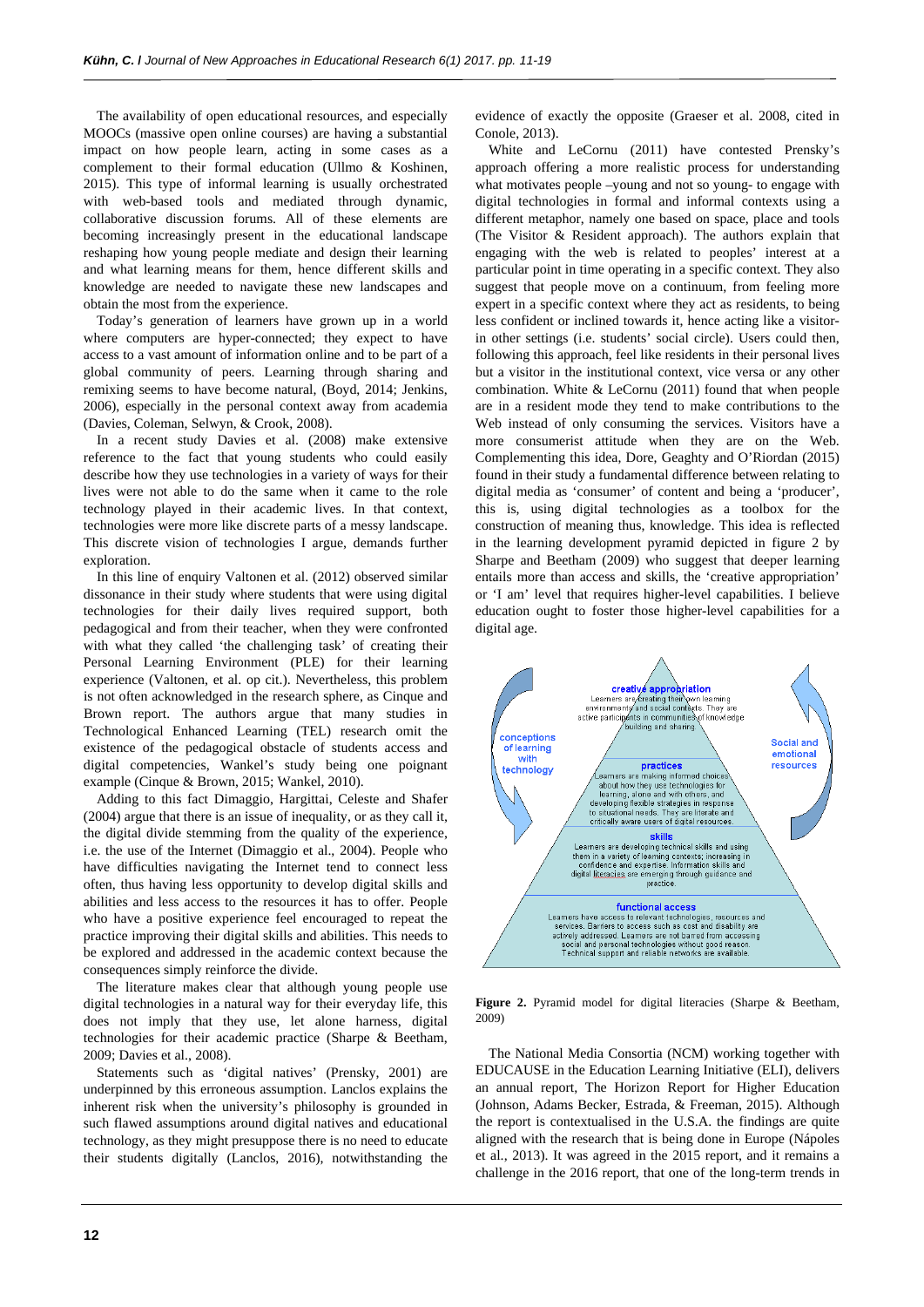The availability of open educational resources, and especially MOOCs (massive open online courses) are having a substantial impact on how people learn, acting in some cases as a complement to their formal education (Ullmo & Koshinen, 2015). This type of informal learning is usually orchestrated with web-based tools and mediated through dynamic, collaborative discussion forums. All of these elements are becoming increasingly present in the educational landscape reshaping how young people mediate and design their learning and what learning means for them, hence different skills and knowledge are needed to navigate these new landscapes and obtain the most from the experience.

Today's generation of learners have grown up in a world where computers are hyper-connected; they expect to have access to a vast amount of information online and to be part of a global community of peers. Learning through sharing and remixing seems to have become natural, (Boyd, 2014; Jenkins, 2006), especially in the personal context away from academia (Davies, Coleman, Selwyn, & Crook, 2008).

In a recent study Davies et al. (2008) make extensive reference to the fact that young students who could easily describe how they use technologies in a variety of ways for their lives were not able to do the same when it came to the role technology played in their academic lives. In that context, technologies were more like discrete parts of a messy landscape. This discrete vision of technologies I argue, demands further exploration.

In this line of enquiry Valtonen et al. (2012) observed similar dissonance in their study where students that were using digital technologies for their daily lives required support, both pedagogical and from their teacher, when they were confronted with what they called 'the challenging task' of creating their Personal Learning Environment (PLE) for their learning experience (Valtonen, et al. op cit.). Nevertheless, this problem is not often acknowledged in the research sphere, as Cinque and Brown report. The authors argue that many studies in Technological Enhanced Learning (TEL) research omit the existence of the pedagogical obstacle of students access and digital competencies, Wankel's study being one poignant example (Cinque & Brown, 2015; Wankel, 2010).

Adding to this fact Dimaggio, Hargittai, Celeste and Shafer (2004) argue that there is an issue of inequality, or as they call it, the digital divide stemming from the quality of the experience, i.e. the use of the Internet (Dimaggio et al., 2004). People who have difficulties navigating the Internet tend to connect less often, thus having less opportunity to develop digital skills and abilities and less access to the resources it has to offer. People who have a positive experience feel encouraged to repeat the practice improving their digital skills and abilities. This needs to be explored and addressed in the academic context because the consequences simply reinforce the divide.

The literature makes clear that although young people use digital technologies in a natural way for their everyday life, this does not imply that they use, let alone harness, digital technologies for their academic practice (Sharpe & Beetham, 2009; Davies et al., 2008).

Statements such as 'digital natives' (Prensky, 2001) are underpinned by this erroneous assumption. Lanclos explains the inherent risk when the university's philosophy is grounded in such flawed assumptions around digital natives and educational technology, as they might presuppose there is no need to educate their students digitally (Lanclos, 2016), notwithstanding the

evidence of exactly the opposite (Graeser et al. 2008, cited in Conole, 2013).

White and LeCornu (2011) have contested Prensky's approach offering a more realistic process for understanding what motivates people –young and not so young- to engage with digital technologies in formal and informal contexts using a different metaphor, namely one based on space, place and tools (The Visitor & Resident approach). The authors explain that engaging with the web is related to peoples' interest at a particular point in time operating in a specific context. They also suggest that people move on a continuum, from feeling more expert in a specific context where they act as residents, to being less confident or inclined towards it, hence acting like a visitorin other settings (i.e. students' social circle). Users could then, following this approach, feel like residents in their personal lives but a visitor in the institutional context, vice versa or any other combination. White & LeCornu (2011) found that when people are in a resident mode they tend to make contributions to the Web instead of only consuming the services. Visitors have a more consumerist attitude when they are on the Web. Complementing this idea, Dore, Geaghty and O'Riordan (2015) found in their study a fundamental difference between relating to digital media as 'consumer' of content and being a 'producer', this is, using digital technologies as a toolbox for the construction of meaning thus, knowledge. This idea is reflected in the learning development pyramid depicted in figure 2 by Sharpe and Beetham (2009) who suggest that deeper learning entails more than access and skills, the 'creative appropriation' or 'I am' level that requires higher-level capabilities. I believe education ought to foster those higher-level capabilities for a digital age.



**Figure 2.** Pyramid model for digital literacies (Sharpe & Beetham, 2009)

The National Media Consortia (NCM) working together with EDUCAUSE in the Education Learning Initiative (ELI), delivers an annual report, The Horizon Report for Higher Education (Johnson, Adams Becker, Estrada, & Freeman, 2015). Although the report is contextualised in the U.S.A. the findings are quite aligned with the research that is being done in Europe (Nápoles et al., 2013). It was agreed in the 2015 report, and it remains a challenge in the 2016 report, that one of the long-term trends in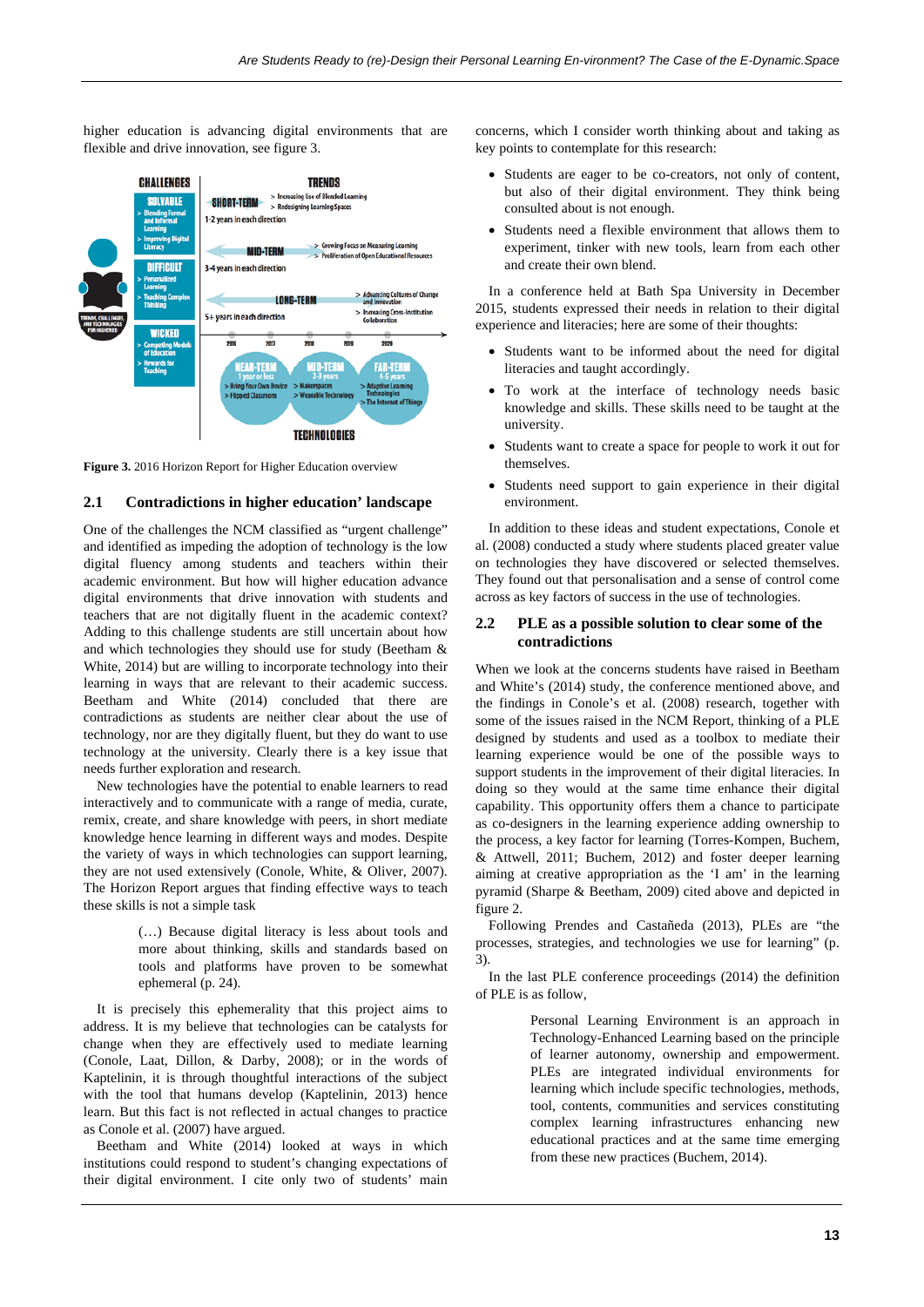higher education is advancing digital environments that are flexible and drive innovation, see figure 3.



<span id="page-2-2"></span><span id="page-2-1"></span><span id="page-2-0"></span>**Figure 3.** 2016 Horizon Report for Higher Education overview

#### **2.1 Contradictions in higher education' landscape**

<span id="page-2-3"></span>One of the challenges the NCM classified as "urgent challenge" and identified as impeding the adoption of technology is the low digital fluency among students and teachers within their academic environment. But how will higher education advance digital environments that drive innovation with students and teachers that are not digitally fluent in the academic context? Adding to this challenge students are still uncertain about how and which technologies they should use for study (Beetham & White, 2014) but are willing to incorporate technology into their learning in ways that are relevant to their academic success. Beetham and White (2014) concluded that there are contradictions as students are neither clear about the use of technology, nor are they digitally fluent, but they do want to use technology at the university. Clearly there is a key issue that needs further exploration and research.

New technologies have the potential to enable learners to read interactively and to communicate with a range of media, curate, remix, create, and share knowledge with peers, in short mediate knowledge hence learning in different ways and modes. Despite the variety of ways in which technologies can support learning, they are not used extensively (Conole, White, & Oliver, 2007). The Horizon Report argues that finding effective ways to teach these skills is not a simple task

> (…) Because digital literacy is less about tools and more about thinking, skills and standards based on tools and platforms have proven to be somewhat ephemeral (p. 24).

It is precisely this ephemerality that this project aims to address. It is my believe that technologies can be catalysts for change when they are effectively used to mediate learning (Conole, Laat, Dillon, & Darby, 2008); or in the words of Kaptelinin, it is through thoughtful interactions of the subject with the tool that humans develop (Kaptelinin, 2013) hence learn. But this fact is not reflected in actual changes to practice as Conole et al. (2007) have argued.

Beetham and White (2014) looked at ways in which institutions could respond to student's changing expectations of their digital environment. I cite only two of students' main concerns, which I consider worth thinking about and taking as key points to contemplate for this research:

- Students are eager to be co-creators, not only of content, but also of their digital environment. They think being consulted about is not enough.
- Students need a flexible environment that allows them to experiment, tinker with new tools, learn from each other and create their own blend.

In a conference held at Bath Spa University in December 2015, students expressed their needs in relation to their digital experience and literacies; here are some of their thoughts:

- Students want to be informed about the need for digital literacies and taught accordingly.
- To work at the interface of technology needs basic knowledge and skills. These skills need to be taught at the university.
- Students want to create a space for people to work it out for themselves.
- Students need support to gain experience in their digital environment.

In addition to these ideas and student expectations, Conole et al. (2008) conducted a study where students placed greater value on technologies they have discovered or selected themselves. They found out that personalisation and a sense of control come across as key factors of success in the use of technologies.

#### **2.2 PLE as a possible solution to clear some of the contradictions**

When we look at the concerns students have raised in Beetham and White's (2014) study, the conference mentioned above, and the findings in Conole's et al. (2008) research, together with some of the issues raised in the NCM Report, thinking of a PLE designed by students and used as a toolbox to mediate their learning experience would be one of the possible ways to support students in the improvement of their digital literacies. In doing so they would at the same time enhance their digital capability. This opportunity offers them a chance to participate as co-designers in the learning experience adding ownership to the process, a key factor for learning (Torres-Kompen, Buchem, & Attwell, 2011; Buchem, 2012) and foster deeper learning aiming at creative appropriation as the 'I am' in the learning pyramid (Sharpe & Beetham, 2009) cited above and depicted in figure 2.

Following Prendes and Castañeda (2013), PLEs are "the processes, strategies, and technologies we use for learning" (p. 3).

In the last PLE conference proceedings (2014) the definition of PLE is as follow,

> Personal Learning Environment is an approach in Technology-Enhanced Learning based on the principle of learner autonomy, ownership and empowerment. PLEs are integrated individual environments for learning which include specific technologies, methods, tool, contents, communities and services constituting complex learning infrastructures enhancing new educational practices and at the same time emerging from these new practices (Buchem, 2014).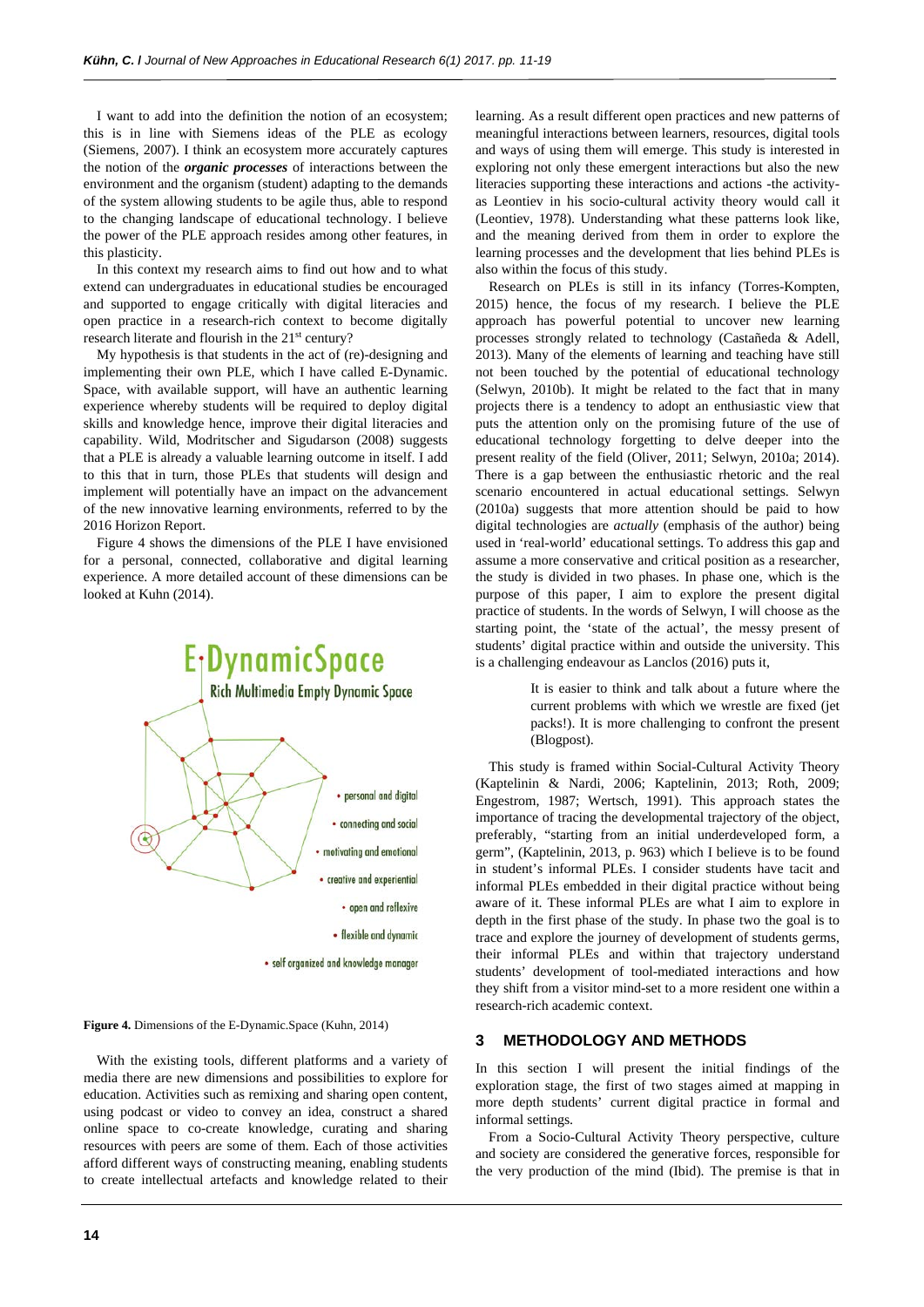I want to add into the definition the notion of an ecosystem; this is in line with Siemens ideas of the PLE as ecology (Siemens, 2007). I think an ecosystem more accurately captures the notion of the *organic processes* of interactions between the environment and the organism (student) adapting to the demands of the system allowing students to be agile thus, able to respond to the changing landscape of educational technology. I believe the power of the PLE approach resides among other features, in this plasticity.

In this context my research aims to find out how and to what extend can undergraduates in educational studies be encouraged and supported to engage critically with digital literacies and open practice in a research-rich context to become digitally research literate and flourish in the 21st century?

My hypothesis is that students in the act of (re)-designing and implementing their own PLE, which I have called E-Dynamic. Space, with available support, will have an authentic learning experience whereby students will be required to deploy digital skills and knowledge hence, improve their digital literacies and capability. Wild, Modritscher and Sigudarson (2008) suggests that a PLE is already a valuable learning outcome in itself. I add to this that in turn, those PLEs that students will design and implement will potentially have an impact on the advancement of the new innovative learning environments, referred to by the 2016 Horizon Report.

Figure 4 shows the dimensions of the PLE I have envisioned for a personal, connected, collaborative and digital learning experience. A more detailed account of these dimensions can be looked at Kuhn (2014).



**Figure 4.** Dimensions of the E-Dynamic.Space (Kuhn, 2014)

With the existing tools, different platforms and a variety of media there are new dimensions and possibilities to explore for education. Activities such as remixing and sharing open content, using podcast or video to convey an idea, construct a shared online space to co-create knowledge, curating and sharing resources with peers are some of them. Each of those activities afford different ways of constructing meaning, enabling students to create intellectual artefacts and knowledge related to their

learning. As a result different open practices and new patterns of meaningful interactions between learners, resources, digital tools and ways of using them will emerge. This study is interested in exploring not only these emergent interactions but also the new literacies supporting these interactions and actions -the activityas Leontiev in his socio-cultural activity theory would call it (Leontiev, 1978). Understanding what these patterns look like, and the meaning derived from them in order to explore the learning processes and the development that lies behind PLEs is also within the focus of this study.

Research on PLEs is still in its infancy (Torres-Kompten, 2015) hence, the focus of my research. I believe the PLE approach has powerful potential to uncover new learning processes strongly related to technology (Castañeda & Adell, 2013). Many of the elements of learning and teaching have still not been touched by the potential of educational technology (Selwyn, 2010b). It might be related to the fact that in many projects there is a tendency to adopt an enthusiastic view that puts the attention only on the promising future of the use of educational technology forgetting to delve deeper into the present reality of the field (Oliver, 2011; Selwyn, 2010a; 2014). There is a gap between the enthusiastic rhetoric and the real scenario encountered in actual educational settings. Selwyn (2010a) suggests that more attention should be paid to how digital technologies are *actually* (emphasis of the author) being used in 'real-world' educational settings. To address this gap and assume a more conservative and critical position as a researcher, the study is divided in two phases. In phase one, which is the purpose of this paper, I aim to explore the present digital practice of students. In the words of Selwyn, I will choose as the starting point, the 'state of the actual', the messy present of students' digital practice within and outside the university. This is a challenging endeavour as Lanclos (2016) puts it,

> It is easier to think and talk about a future where the current problems with which we wrestle are fixed (jet packs!). It is more challenging to confront the present (Blogpost).

This study is framed within Social-Cultural Activity Theory (Kaptelinin & Nardi, 2006; Kaptelinin, 2013; Roth, 2009; Engestrom, 1987; Wertsch, 1991). This approach states the importance of tracing the developmental trajectory of the object, preferably, "starting from an initial underdeveloped form, a germ", (Kaptelinin, 2013, p. 963) which I believe is to be found in student's informal PLEs. I consider students have tacit and informal PLEs embedded in their digital practice without being aware of it. These informal PLEs are what I aim to explore in depth in the first phase of the study. In phase two the goal is to trace and explore the journey of development of students germs, their informal PLEs and within that trajectory understand students' development of tool-mediated interactions and how they shift from a visitor mind-set to a more resident one within a research-rich academic context.

#### **3 METHODOLOGY AND METHODS**

In this section I will present the initial findings of the exploration stage, the first of two stages aimed at mapping in more depth students' current digital practice in formal and informal settings.

From a Socio-Cultural Activity Theory perspective, culture and society are considered the generative forces, responsible for the very production of the mind (Ibid). The premise is that in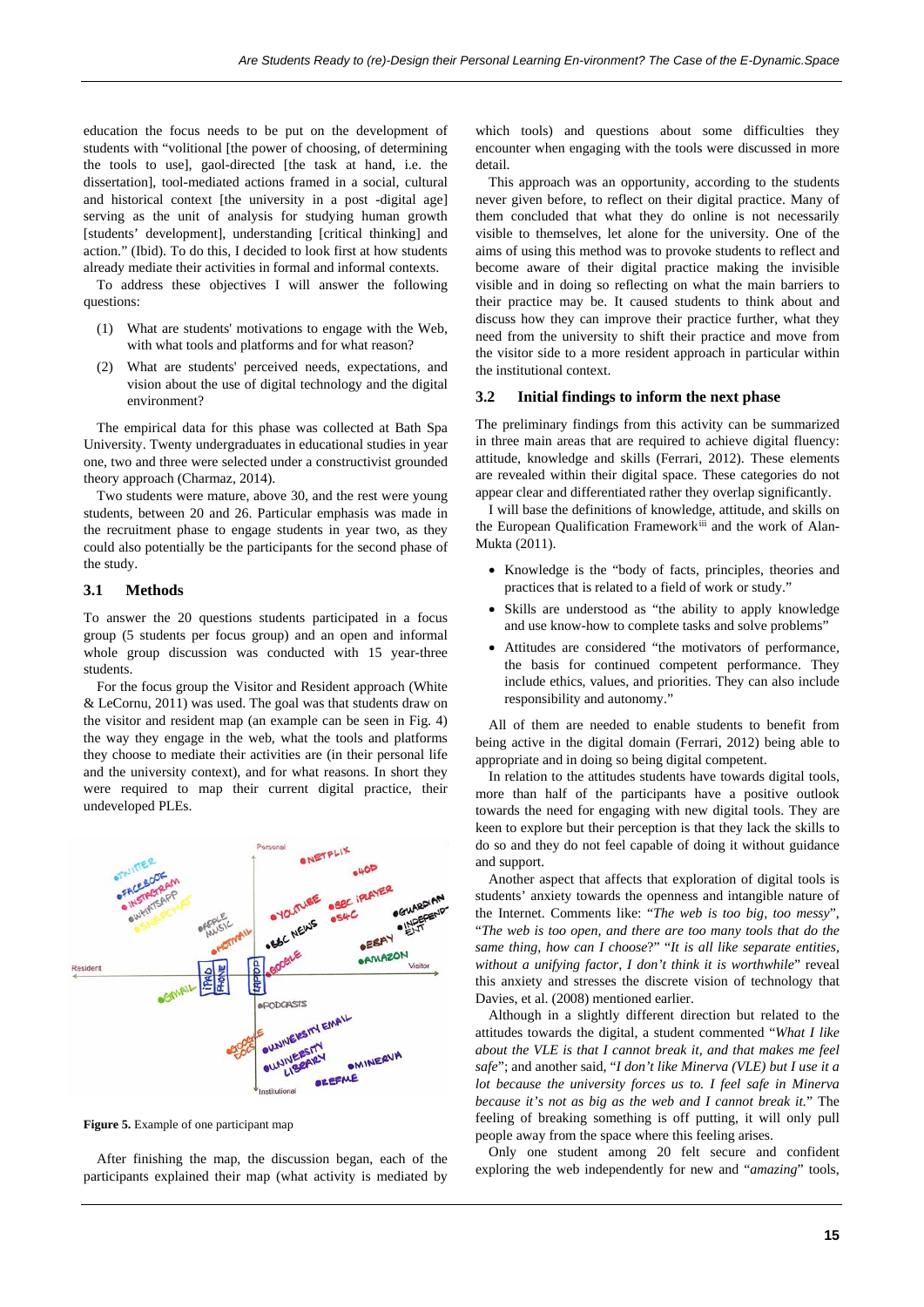education the focus needs to be put on the development of students with "volitional [the power of choosing, of determining the tools to use], gaol-directed [the task at hand, i.e. the dissertation], tool-mediated actions framed in a social, cultural and historical context [the university in a post -digital age] serving as the unit of analysis for studying human growth [students' development], understanding [critical thinking] and action." (Ibid). To do this, I decided to look first at how students already mediate their activities in formal and informal contexts.

To address these objectives I will answer the following questions:

- (1) What are students' motivations to engage with the Web, with what tools and platforms and for what reason?
- (2) What are students' perceived needs, expectations, and vision about the use of digital technology and the digital environment?

The empirical data for this phase was collected at Bath Spa University. Twenty undergraduates in educational studies in year one, two and three were selected under a constructivist grounded theory approach (Charmaz, 2014).

Two students were mature, above 30, and the rest were young students, between 20 and 26. Particular emphasis was made in the recruitment phase to engage students in year two, as they could also potentially be the participants for the second phase of the study.

#### **3.1 Methods**

To answer the 20 questions students participated in a focus group (5 students per focus group) and an open and informal whole group discussion was conducted with 15 year-three students.

For the focus group the Visitor and Resident approach (White & LeCornu, 2011) was used. The goal was that students draw on the visitor and resident map (an example can be seen in Fig. 4) the way they engage in the web, what the tools and platforms they choose to mediate their activities are (in their personal life and the university context), and for what reasons. In short they were required to map their current digital practice, their undeveloped PLEs.



**Figure 5.** Example of one participant map

After finishing the map, the discussion began, each of the participants explained their map (what activity is mediated by

which tools) and questions about some difficulties they encounter when engaging with the tools were discussed in more detail.

This approach was an opportunity, according to the students never given before, to reflect on their digital practice. Many of them concluded that what they do online is not necessarily visible to themselves, let alone for the university. One of the aims of using this method was to provoke students to reflect and become aware of their digital practice making the invisible visible and in doing so reflecting on what the main barriers to their practice may be. It caused students to think about and discuss how they can improve their practice further, what they need from the university to shift their practice and move from the visitor side to a more resident approach in particular within the institutional context.

#### **3.2 Initial findings to inform the next phase**

The preliminary findings from this activity can be summarized in three main areas that are required to achieve digital fluency: attitude, knowledge and skills (Ferrari, 2012). These elements are revealed within their digital space. These categories do not appear clear and differentiated rather they overlap significantly.

I will base the definitions of knowledge, attitude, and skills on the European Qualification Framework[iii](#page-2-2) and the work of Alan-Mukta (2011).

- Knowledge is the "body of facts, principles, theories and practices that is related to a field of work or study."
- Skills are understood as "the ability to apply knowledge and use know-how to complete tasks and solve problems"
- Attitudes are considered "the motivators of performance, the basis for continued competent performance. They include ethics, values, and priorities. They can also include responsibility and autonomy."

All of them are needed to enable students to benefit from being active in the digital domain (Ferrari, 2012) being able to appropriate and in doing so being digital competent.

In relation to the attitudes students have towards digital tools, more than half of the participants have a positive outlook towards the need for engaging with new digital tools. They are keen to explore but their perception is that they lack the skills to do so and they do not feel capable of doing it without guidance and support.

Another aspect that affects that exploration of digital tools is students' anxiety towards the openness and intangible nature of the Internet. Comments like: "*The web is too big, too messy*", "*The web is too open, and there are too many tools that do the same thing, how can I choose*?" "*It is all like separate entities, without a unifying factor, I don't think it is worthwhile*" reveal this anxiety and stresses the discrete vision of technology that Davies, et al. (2008) mentioned earlier.

Although in a slightly different direction but related to the attitudes towards the digital, a student commented "*What I like about the VLE is that I cannot break it, and that makes me feel safe*"; and another said, "*I don't like Minerva (VLE) but I use it a lot because the university forces us to. I feel safe in Minerva because it's not as big as the web and I cannot break it.*" The feeling of breaking something is off putting, it will only pull people away from the space where this feeling arises.

Only one student among 20 felt secure and confident exploring the web independently for new and "*amazing*" tools,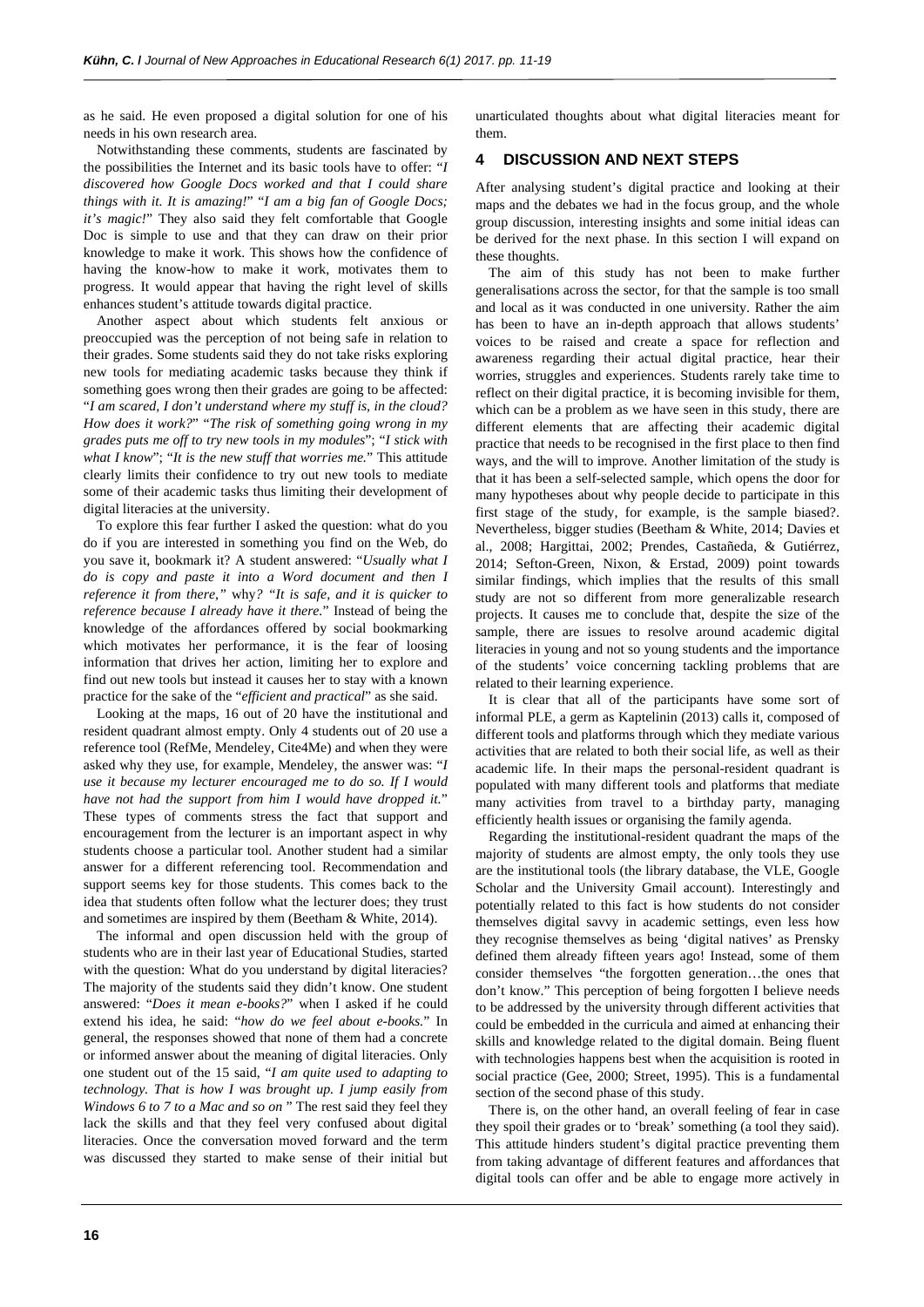as he said. He even proposed a digital solution for one of his needs in his own research area.

Notwithstanding these comments, students are fascinated by the possibilities the Internet and its basic tools have to offer: "*I discovered how Google Docs worked and that I could share things with it. It is amazing!*" "*I am a big fan of Google Docs; it's magic!*" They also said they felt comfortable that Google Doc is simple to use and that they can draw on their prior knowledge to make it work. This shows how the confidence of having the know-how to make it work, motivates them to progress. It would appear that having the right level of skills enhances student's attitude towards digital practice.

Another aspect about which students felt anxious or preoccupied was the perception of not being safe in relation to their grades. Some students said they do not take risks exploring new tools for mediating academic tasks because they think if something goes wrong then their grades are going to be affected: "*I am scared, I don't understand where my stuff is, in the cloud? How does it work?*" "*The risk of something going wrong in my grades puts me off to try new tools in my modules*"; "*I stick with what I know*"; "*It is the new stuff that worries me.*" This attitude clearly limits their confidence to try out new tools to mediate some of their academic tasks thus limiting their development of digital literacies at the university.

To explore this fear further I asked the question: what do you do if you are interested in something you find on the Web, do you save it, bookmark it? A student answered: "*Usually what I do is copy and paste it into a Word document and then I reference it from there,"* why*? "It is safe, and it is quicker to reference because I already have it there.*" Instead of being the knowledge of the affordances offered by social bookmarking which motivates her performance, it is the fear of loosing information that drives her action, limiting her to explore and find out new tools but instead it causes her to stay with a known practice for the sake of the "*efficient and practical*" as she said.

Looking at the maps, 16 out of 20 have the institutional and resident quadrant almost empty. Only 4 students out of 20 use a reference tool (RefMe, Mendeley, Cite4Me) and when they were asked why they use, for example, Mendeley, the answer was: "*I use it because my lecturer encouraged me to do so. If I would have not had the support from him I would have dropped it.*" These types of comments stress the fact that support and encouragement from the lecturer is an important aspect in why students choose a particular tool. Another student had a similar answer for a different referencing tool. Recommendation and support seems key for those students. This comes back to the idea that students often follow what the lecturer does; they trust and sometimes are inspired by them (Beetham & White, 2014).

The informal and open discussion held with the group of students who are in their last year of Educational Studies, started with the question: What do you understand by digital literacies? The majority of the students said they didn't know. One student answered: "*Does it mean e-books?*" when I asked if he could extend his idea, he said: "*how do we feel about e-books.*" In general, the responses showed that none of them had a concrete or informed answer about the meaning of digital literacies. Only one student out of the 15 said, "*I am quite used to adapting to technology. That is how I was brought up. I jump easily from Windows 6 to 7 to a Mac and so on* " The rest said they feel they lack the skills and that they feel very confused about digital literacies. Once the conversation moved forward and the term was discussed they started to make sense of their initial but

unarticulated thoughts about what digital literacies meant for them.

# **4 DISCUSSION AND NEXT STEPS**

After analysing student's digital practice and looking at their maps and the debates we had in the focus group, and the whole group discussion, interesting insights and some initial ideas can be derived for the next phase. In this section I will expand on these thoughts.

The aim of this study has not been to make further generalisations across the sector, for that the sample is too small and local as it was conducted in one university. Rather the aim has been to have an in-depth approach that allows students' voices to be raised and create a space for reflection and awareness regarding their actual digital practice, hear their worries, struggles and experiences. Students rarely take time to reflect on their digital practice, it is becoming invisible for them, which can be a problem as we have seen in this study, there are different elements that are affecting their academic digital practice that needs to be recognised in the first place to then find ways, and the will to improve. Another limitation of the study is that it has been a self-selected sample, which opens the door for many hypotheses about why people decide to participate in this first stage of the study, for example, is the sample biased?. Nevertheless, bigger studies (Beetham & White, 2014; Davies et al., 2008; Hargittai, 2002; Prendes, Castañeda, & Gutiérrez, 2014; Sefton-Green, Nixon, & Erstad, 2009) point towards similar findings, which implies that the results of this small study are not so different from more generalizable research projects. It causes me to conclude that, despite the size of the sample, there are issues to resolve around academic digital literacies in young and not so young students and the importance of the students' voice concerning tackling problems that are related to their learning experience.

It is clear that all of the participants have some sort of informal PLE, a germ as Kaptelinin (2013) calls it, composed of different tools and platforms through which they mediate various activities that are related to both their social life, as well as their academic life. In their maps the personal-resident quadrant is populated with many different tools and platforms that mediate many activities from travel to a birthday party, managing efficiently health issues or organising the family agenda.

Regarding the institutional-resident quadrant the maps of the majority of students are almost empty, the only tools they use are the institutional tools (the library database, the VLE, Google Scholar and the University Gmail account). Interestingly and potentially related to this fact is how students do not consider themselves digital savvy in academic settings, even less how they recognise themselves as being 'digital natives' as Prensky defined them already fifteen years ago! Instead, some of them consider themselves "the forgotten generation…the ones that don't know." This perception of being forgotten I believe needs to be addressed by the university through different activities that could be embedded in the curricula and aimed at enhancing their skills and knowledge related to the digital domain. Being fluent with technologies happens best when the acquisition is rooted in social practice (Gee, 2000; Street, 1995). This is a fundamental section of the second phase of this study.

There is, on the other hand, an overall feeling of fear in case they spoil their grades or to 'break' something (a tool they said). This attitude hinders student's digital practice preventing them from taking advantage of different features and affordances that digital tools can offer and be able to engage more actively in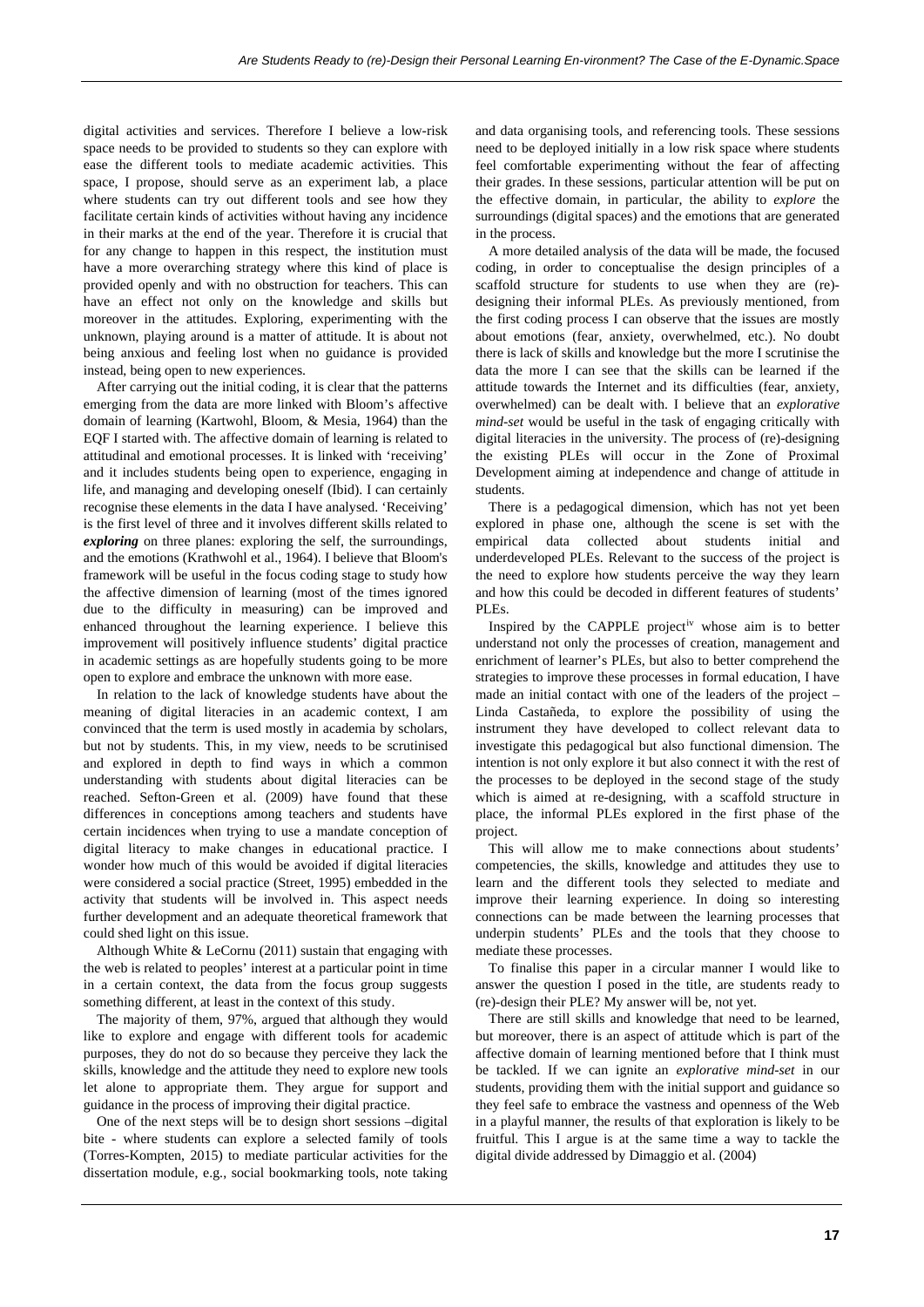digital activities and services. Therefore I believe a low-risk space needs to be provided to students so they can explore with ease the different tools to mediate academic activities. This space, I propose, should serve as an experiment lab, a place where students can try out different tools and see how they facilitate certain kinds of activities without having any incidence in their marks at the end of the year. Therefore it is crucial that for any change to happen in this respect, the institution must have a more overarching strategy where this kind of place is provided openly and with no obstruction for teachers. This can have an effect not only on the knowledge and skills but moreover in the attitudes. Exploring, experimenting with the unknown, playing around is a matter of attitude. It is about not being anxious and feeling lost when no guidance is provided instead, being open to new experiences.

After carrying out the initial coding, it is clear that the patterns emerging from the data are more linked with Bloom's affective domain of learning (Kartwohl, Bloom, & Mesia, 1964) than the EQF I started with. The affective domain of learning is related to attitudinal and emotional processes. It is linked with 'receiving' and it includes students being open to experience, engaging in life, and managing and developing oneself (Ibid). I can certainly recognise these elements in the data I have analysed. 'Receiving' is the first level of three and it involves different skills related to *exploring* on three planes: exploring the self, the surroundings, and the emotions (Krathwohl et al., 1964). I believe that Bloom's framework will be useful in the focus coding stage to study how the affective dimension of learning (most of the times ignored due to the difficulty in measuring) can be improved and enhanced throughout the learning experience. I believe this improvement will positively influence students' digital practice in academic settings as are hopefully students going to be more open to explore and embrace the unknown with more ease.

In relation to the lack of knowledge students have about the meaning of digital literacies in an academic context, I am convinced that the term is used mostly in academia by scholars, but not by students. This, in my view, needs to be scrutinised and explored in depth to find ways in which a common understanding with students about digital literacies can be reached. Sefton-Green et al. (2009) have found that these differences in conceptions among teachers and students have certain incidences when trying to use a mandate conception of digital literacy to make changes in educational practice. I wonder how much of this would be avoided if digital literacies were considered a social practice (Street, 1995) embedded in the activity that students will be involved in. This aspect needs further development and an adequate theoretical framework that could shed light on this issue.

Although White & LeCornu (2011) sustain that engaging with the web is related to peoples' interest at a particular point in time in a certain context, the data from the focus group suggests something different, at least in the context of this study.

The majority of them, 97%, argued that although they would like to explore and engage with different tools for academic purposes, they do not do so because they perceive they lack the skills, knowledge and the attitude they need to explore new tools let alone to appropriate them. They argue for support and guidance in the process of improving their digital practice.

One of the next steps will be to design short sessions –digital bite - where students can explore a selected family of tools (Torres-Kompten, 2015) to mediate particular activities for the dissertation module, e.g., social bookmarking tools, note taking and data organising tools, and referencing tools. These sessions need to be deployed initially in a low risk space where students feel comfortable experimenting without the fear of affecting their grades. In these sessions, particular attention will be put on the effective domain, in particular, the ability to *explore* the surroundings (digital spaces) and the emotions that are generated in the process.

A more detailed analysis of the data will be made, the focused coding, in order to conceptualise the design principles of a scaffold structure for students to use when they are (re) designing their informal PLEs. As previously mentioned, from the first coding process I can observe that the issues are mostly about emotions (fear, anxiety, overwhelmed, etc.). No doubt there is lack of skills and knowledge but the more I scrutinise the data the more I can see that the skills can be learned if the attitude towards the Internet and its difficulties (fear, anxiety, overwhelmed) can be dealt with. I believe that an *explorative mind-set* would be useful in the task of engaging critically with digital literacies in the university. The process of (re)-designing the existing PLEs will occur in the Zone of Proximal Development aiming at independence and change of attitude in students.

There is a pedagogical dimension, which has not yet been explored in phase one, although the scene is set with the empirical data collected about students initial and underdeveloped PLEs. Relevant to the success of the project is the need to explore how students perceive the way they learn and how this could be decoded in different features of students' PLEs.

Inspired by the CAPPLE project<sup>[iv](#page-2-3)</sup> whose aim is to better understand not only the processes of creation, management and enrichment of learner's PLEs, but also to better comprehend the strategies to improve these processes in formal education, I have made an initial contact with one of the leaders of the project – Linda Castañeda, to explore the possibility of using the instrument they have developed to collect relevant data to investigate this pedagogical but also functional dimension. The intention is not only explore it but also connect it with the rest of the processes to be deployed in the second stage of the study which is aimed at re-designing, with a scaffold structure in place, the informal PLEs explored in the first phase of the project.

This will allow me to make connections about students' competencies, the skills, knowledge and attitudes they use to learn and the different tools they selected to mediate and improve their learning experience. In doing so interesting connections can be made between the learning processes that underpin students' PLEs and the tools that they choose to mediate these processes.

To finalise this paper in a circular manner I would like to answer the question I posed in the title, are students ready to (re)-design their PLE? My answer will be, not yet.

There are still skills and knowledge that need to be learned, but moreover, there is an aspect of attitude which is part of the affective domain of learning mentioned before that I think must be tackled. If we can ignite an *explorative mind-set* in our students, providing them with the initial support and guidance so they feel safe to embrace the vastness and openness of the Web in a playful manner, the results of that exploration is likely to be fruitful. This I argue is at the same time a way to tackle the digital divide addressed by Dimaggio et al. (2004)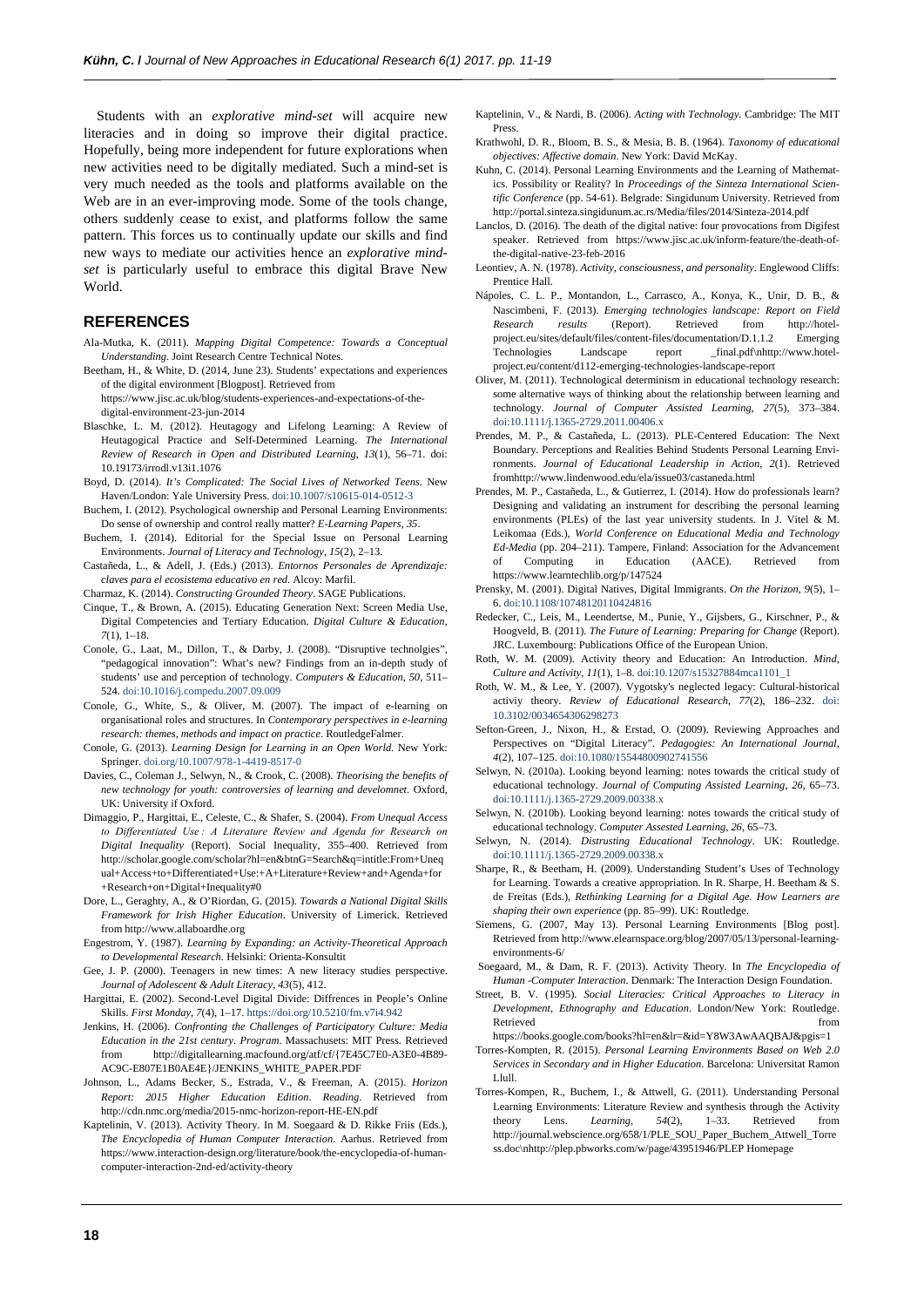Students with an *explorative mind-set* will acquire new literacies and in doing so improve their digital practice. Hopefully, being more independent for future explorations when new activities need to be digitally mediated. Such a mind-set is very much needed as the tools and platforms available on the Web are in an ever-improving mode. Some of the tools change, others suddenly cease to exist, and platforms follow the same pattern. This forces us to continually update our skills and find new ways to mediate our activities hence an *explorative mindset* is particularly useful to embrace this digital Brave New World.

#### **REFERENCES**

- Ala-Mutka, K. (2011). *Mapping Digital Competence: Towards a Conceptual Understanding*. Joint Research Centre Technical Notes.
- Beetham, H., & White, D. (2014, June 23). Students' expectations and experiences of the digital environment [Blogpost]. Retrieved from

https://www.jisc.ac.uk/blog/students-experiences-and-expectations-of-thedigital-environment-23-jun-2014

- Blaschke, L. M. (2012). Heutagogy and Lifelong Learning: A Review of Heutagogical Practice and Self-Determined Learning. *The International Review of Research in Open and Distributed Learning*, *13*(1), 56–71. [doi:](https://doi.org/10.19173/irrodl.v13i1.1076)  [10.19173/irrodl.v13i1.1076](https://doi.org/10.19173/irrodl.v13i1.1076)
- Boyd, D. (2014). *It's Complicated: The Social Lives of Networked Teens*. New Haven/London: Yale University Press[. doi:10.1007/s10615-014-0512-3](http://link.springer.com/article/10.1007%2Fs10615-014-0512-3)
- Buchem, I. (2012). Psychological ownership and Personal Learning Environments: Do sense of ownership and control really matter? *E-Learning Papers*, *35*.
- Buchem, I. (2014). Editorial for the Special Issue on Personal Learning Environments. *Journal of Literacy and Technology*, *15*(2), 2–13.
- Castañeda, L., & Adell, J. (Eds.) (2013). *Entornos Personales de Aprendizaje: claves para el ecosistema educativo en red*. Alcoy: Marfil.
- Charmaz, K. (2014). *Constructing Grounded Theory*. SAGE Publications.
- Cinque, T., & Brown, A. (2015). Educating Generation Next: Screen Media Use, Digital Competencies and Tertiary Education. *Digital Culture & Education*, *7*(1), 1–18.
- Conole, G., Laat, M., Dillon, T., & Darby, J. (2008). "Disruptive technolgies", "pedagogical innovation": What's new? Findings from an in-depth study of students' use and perception of technology. *Computers & Education*, *50*, 511– 524. [doi:10.1016/j.compedu.2007.09.009](http://www.sciencedirect.com/science/article/pii/S036013150700111X)
- Conole, G., White, S., & Oliver, M. (2007). The impact of e-learning on organisational roles and structures. In *Contemporary perspectives in e-learning research: themes, methods and impact on practice*. RoutledgeFalmer.
- Conole, G. (2013). *Learning Design for Learning in an Open World.* New York: Springer[. doi.org/10.1007/978-1-4419-8517-0](http://www.sciencedirect.com/science/article/pii/S036013150700111X)
- Davies, C., Coleman J., Selwyn, N., & Crook, C. (2008). *Theorising the benefits of new technology for youth: controversies of learning and develomnet*. Oxford, UK: University if Oxford.
- Dimaggio, P., Hargittai, E., Celeste, C., & Shafer, S. (2004). *From Unequal Access to Differentiated Use : A Literature Review and Agenda for Research on Digital Inequality* (Report). Social Inequality, 355–400. Retrieved from http://scholar.google.com/scholar?hl=en&btnG=Search&q=intitle:From+Uneq ual+Access+to+Differentiated+Use:+A+Literature+Review+and+Agenda+for +Research+on+Digital+Inequality#0
- Dore, L., Geraghty, A., & O'Riordan, G. (2015). *Towards a National Digital Skills Framework for Irish Higher Education*. University of Limerick. Retrieved fro[m http://www.allaboardhe.org](http://www.allaboardhe.org/)
- Engestrom, Y. (1987). *Learning by Expanding: an Activity-Theoretical Approach to Developmental Research.* Helsinki: Orienta-Konsultit
- Gee, J. P. (2000). Teenagers in new times: A new literacy studies perspective. *Journal of Adolescent & Adult Literacy*, *43*(5), 412.
- Hargittai, E. (2002). Second-Level Digital Divide: Diffrences in People's Online Skills. *First Monday*, *7*(4), 1–17[. https://doi.org/10.5210/fm.v7i4.942](http://journals.uic.edu/ojs/index.php/fm/article/view/942)
- Jenkins, H. (2006). *Confronting the Challenges of Participatory Culture: Media Education in the 21st century*. *Program*. Massachusets: MIT Press. Retrieved from http://digitallearning.macfound.org/atf/cf/{7E45C7E0-A3E0-4B89- AC9C-E807E1B0AE4E}/JENKINS\_WHITE\_PAPER.PDF
- Johnson, L., Adams Becker, S., Estrada, V., & Freeman, A. (2015). *Horizon Report: 2015 Higher Education Edition*. *Reading*. Retrieved from http://cdn.nmc.org/media/2015-nmc-horizon-report-HE-EN.pdf
- Kaptelinin, V. (2013). Activity Theory. In M. Soegaard & D. Rikke Friis (Eds.), *The Encyclopedia of Human Computer Interaction*. Aarhus. Retrieved from https://www.interaction-design.org/literature/book/the-encyclopedia-of-humancomputer-interaction-2nd-ed/activity-theory
- Kaptelinin, V., & Nardi, B. (2006). *Acting with Technology.* Cambridge: The MIT Press.
- Krathwohl, D. R., Bloom, B. S., & Mesia, B. B. (1964). *Taxonomy of educational objectives: Affective domain*. New York: David McKay.
- Kuhn, C. (2014). Personal Learning Environments and the Learning of Mathematics. Possibility or Reality? In *Proceedings of the Sinteza International Scientific Conference* (pp. 54-61). Belgrade: Singidunum University. Retrieved from http://portal.sinteza.singidunum.ac.rs/Media/files/2014/Sinteza-2014.pdf
- Lanclos, D. (2016). The death of the digital native: four provocations from Digifest speaker. Retrieved from https://www.jisc.ac.uk/inform-feature/the-death-ofthe-digital-native-23-feb-2016
- Leontiev, A. N. (1978). *Activity, consciousness, and personality*. Englewood Cliffs: Prentice Hall.
- Nápoles, C. L. P., Montandon, L., Carrasco, A., Konya, K., Unir, D. B., & Nascimbeni, F. (2013). *Emerging technologies landscape: Report on Field Research results* (Report). Retrieved from http://hotelproject.eu/sites/default/files/content-files/documentation/D.1.1.2 Emerging Technologies Landscape report \_final.pdf\nhttp://www.hotelproject.eu/content/d112-emerging-technologies-landscape-report
- Oliver, M. (2011). Technological determinism in educational technology research: some alternative ways of thinking about the relationship between learning and technology. *Journal of Computer Assisted Learning*, *27*(5), 373–384. [doi:10.1111/j.1365-2729.2011.00406.x](https://doi.org/10.1111/j.1365-2729.2011.00406.x)
- Prendes, M. P., & Castañeda, L. (2013). PLE-Centered Education: The Next Boundary. Perceptions and Realities Behind Students Personal Learning Environments. *Journal of Educational Leadership in Action*, *2*(1). Retrieved fromhttp://www.lindenwood.edu/ela/issue03/castaneda.html
- Prendes, M. P., Castañeda, L., & Gutierrez, I. (2014). How do professionals learn? Designing and validating an instrument for describing the personal learning environments (PLEs) of the last year university students. In J. Vitel & M. Leikomaa (Eds.), *World Conference on Educational Media and Technology Ed-Media* (pp. 204–211). Tampere, Finland: Association for the Advancement of Computing in Education (AACE). Retrieved from https://www.learntechlib.org/p/147524
- Prensky, M. (2001). Digital Natives, Digital Immigrants. *On the Horizon*, *9*(5), 1– 6[. doi:10.1108/10748120110424816](https://doi.org/10.1108/10748120110424816)
- Redecker, C., Leis, M., Leendertse, M., Punie, Y., Gijsbers, G., Kirschner, P., & Hoogveld, B. (2011). *The Future of Learning: Preparing for Change* (Report). JRC. Luxembourg: Publications Office of the European Union.
- Roth, W. M. (2009). Activity theory and Education: An Introduction. *Mind, Culture and Activity*, *11*(1), 1–8[. doi:10.1207/s15327884mca1101\\_1](https://doi.org/10.1207/s15327884mca1101_1)
- Roth, W. M., & Lee, Y. (2007). Vygotsky's neglected legacy: Cultural-historical activiy theory. *Review of Educational Research*, *77*(2), 186–232. [doi:](https://doi.org/10.3102/0034654306298273)  [10.3102/0034654306298273](https://doi.org/10.3102/0034654306298273)
- Sefton-Green, J., Nixon, H., & Erstad, O. (2009). Reviewing Approaches and Perspectives on "Digital Literacy". *Pedagogies: An International Journal*, *4*(2), 107–125[. doi:10.1080/15544800902741556](https://doi.org/10.1080/15544800902741556)
- Selwyn, N. (2010a). Looking beyond learning: notes towards the critical study of educational technology. *Journal of Computing Assisted Learning*, *26*, 65–73. [doi:10.1111/j.1365-2729.2009.00338.x](https://doi.org/10.1111/j.1365-2729.2009.00338.x)
- Selwyn, N. (2010b). Looking beyond learning: notes towards the critical study of educational technology. *Computer Assested Learning*, *26*, 65–73.
- Selwyn, N. (2014). *Distrusting Educational Technology*. UK: Routledge. [doi:10.1111/j.1365-2729.2009.00338.x](https://doi.org/10.1111/j.1365-2729.2009.00338.x)
- Sharpe, R., & Beetham, H. (2009). Understanding Student's Uses of Technology for Learning. Towards a creative appropriation. In R. Sharpe, H. Beetham & S. de Freitas (Eds.), *Rethinking Learning for a Digital Age. How Learners are shaping their own experience* (pp. 85–99). UK: Routledge.
- Siemens, G. (2007, May 13). Personal Learning Environments [Blog post]. Retrieved from http://www.elearnspace.org/blog/2007/05/13/personal-learningenvironments-6/
- Soegaard, M., & Dam, R. F. (2013). Activity Theory. In *The Encyclopedia of Human -Computer Interaction*. Denmark: The Interaction Design Foundation.
- Street, B. V. (1995). *Social Literacies: Critical Approaches to Literacy in Development, Ethnography and Education*. London/New York: Routledge. Retrieved from the state of  $\sim$
- https://books.google.com/books?hl=en&lr=&id=Y8W3AwAAQBAJ&pgis=1 Torres-Kompten, R. (2015). *Personal Learning Environments Based on Web 2.0*
- *Services in Secondary and in Higher Education*. Barcelona: Universitat Ramon Llull.
- Torres-Kompen, R., Buchem, I., & Attwell, G. (2011). Understanding Personal Learning Environments: Literature Review and synthesis through the Activity theory Lens. *Learning*, *54*(2), 1–33. Retrieved from http://journal.webscience.org/658/1/PLE\_SOU\_Paper\_Buchem\_Attwell\_Torre ss.doc\nhttp://plep.pbworks.com/w/page/43951946/PLEP Homepage